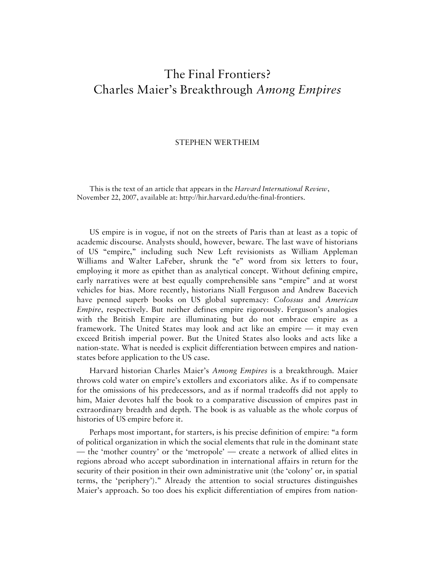## The Final Frontiers? Charles Maier's Breakthrough *Among Empires*

## STEPHEN WERTHEIM

This is the text of an article that appears in the *Harvard International Review*, November 22, 2007, available at: http://hir.harvard.edu/the-final-frontiers.

US empire is in vogue, if not on the streets of Paris than at least as a topic of academic discourse. Analysts should, however, beware. The last wave of historians of US "empire," including such New Left revisionists as William Appleman Williams and Walter LaFeber, shrunk the "e" word from six letters to four, employing it more as epithet than as analytical concept. Without defining empire, early narratives were at best equally comprehensible sans "empire" and at worst vehicles for bias. More recently, historians Niall Ferguson and Andrew Bacevich have penned superb books on US global supremacy: *Colossus* and *American Empire*, respectively. But neither defines empire rigorously. Ferguson's analogies with the British Empire are illuminating but do not embrace empire as a framework. The United States may look and act like an empire — it may even exceed British imperial power. But the United States also looks and acts like a nation-state. What is needed is explicit differentiation between empires and nationstates before application to the US case.

Harvard historian Charles Maier's *Among Empires* is a breakthrough. Maier throws cold water on empire's extollers and excoriators alike. As if to compensate for the omissions of his predecessors, and as if normal tradeoffs did not apply to him, Maier devotes half the book to a comparative discussion of empires past in extraordinary breadth and depth. The book is as valuable as the whole corpus of histories of US empire before it.

Perhaps most important, for starters, is his precise definition of empire: "a form of political organization in which the social elements that rule in the dominant state — the 'mother country' or the 'metropole' — create a network of allied elites in regions abroad who accept subordination in international affairs in return for the security of their position in their own administrative unit (the 'colony' or, in spatial terms, the 'periphery')." Already the attention to social structures distinguishes Maier's approach. So too does his explicit differentiation of empires from nation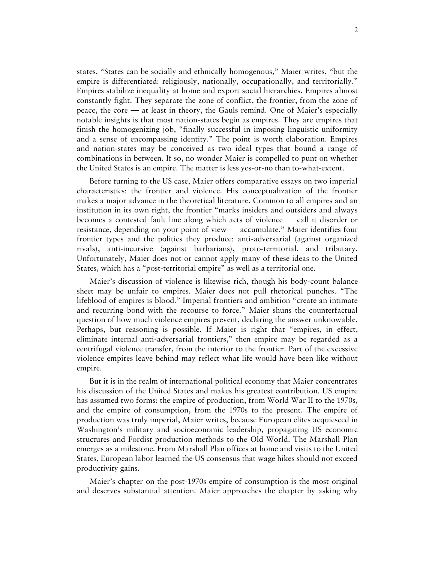states. "States can be socially and ethnically homogenous," Maier writes, "but the empire is differentiated: religiously, nationally, occupationally, and territorially." Empires stabilize inequality at home and export social hierarchies. Empires almost constantly fight. They separate the zone of conflict, the frontier, from the zone of peace, the core — at least in theory, the Gauls remind. One of Maier's especially notable insights is that most nation-states begin as empires. They are empires that finish the homogenizing job, "finally successful in imposing linguistic uniformity and a sense of encompassing identity." The point is worth elaboration. Empires and nation-states may be conceived as two ideal types that bound a range of combinations in between. If so, no wonder Maier is compelled to punt on whether the United States is an empire. The matter is less yes-or-no than to-what-extent.

Before turning to the US case, Maier offers comparative essays on two imperial characteristics: the frontier and violence. His conceptualization of the frontier makes a major advance in the theoretical literature. Common to all empires and an institution in its own right, the frontier "marks insiders and outsiders and always becomes a contested fault line along which acts of violence — call it disorder or resistance, depending on your point of view — accumulate." Maier identifies four frontier types and the politics they produce: anti-adversarial (against organized rivals), anti-incursive (against barbarians), proto-territorial, and tributary. Unfortunately, Maier does not or cannot apply many of these ideas to the United States, which has a "post-territorial empire" as well as a territorial one.

Maier's discussion of violence is likewise rich, though his body-count balance sheet may be unfair to empires. Maier does not pull rhetorical punches. "The lifeblood of empires is blood." Imperial frontiers and ambition "create an intimate and recurring bond with the recourse to force." Maier shuns the counterfactual question of how much violence empires prevent, declaring the answer unknowable. Perhaps, but reasoning is possible. If Maier is right that "empires, in effect, eliminate internal anti-adversarial frontiers," then empire may be regarded as a centrifugal violence transfer, from the interior to the frontier. Part of the excessive violence empires leave behind may reflect what life would have been like without empire.

But it is in the realm of international political economy that Maier concentrates his discussion of the United States and makes his greatest contribution. US empire has assumed two forms: the empire of production, from World War II to the 1970s, and the empire of consumption, from the 1970s to the present. The empire of production was truly imperial, Maier writes, because European elites acquiesced in Washington's military and socioeconomic leadership, propagating US economic structures and Fordist production methods to the Old World. The Marshall Plan emerges as a milestone. From Marshall Plan offices at home and visits to the United States, European labor learned the US consensus that wage hikes should not exceed productivity gains.

Maier's chapter on the post-1970s empire of consumption is the most original and deserves substantial attention. Maier approaches the chapter by asking why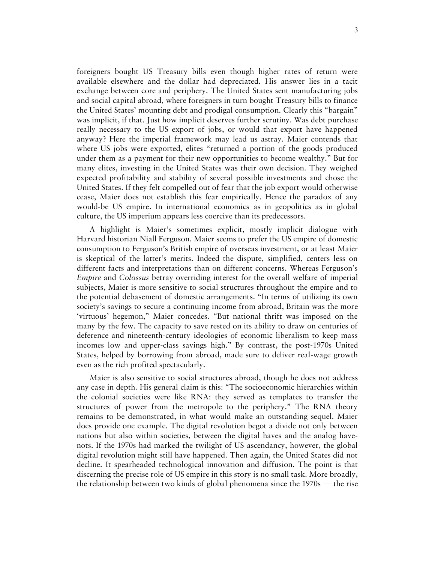foreigners bought US Treasury bills even though higher rates of return were available elsewhere and the dollar had depreciated. His answer lies in a tacit exchange between core and periphery. The United States sent manufacturing jobs and social capital abroad, where foreigners in turn bought Treasury bills to finance the United States' mounting debt and prodigal consumption. Clearly this "bargain" was implicit, if that. Just how implicit deserves further scrutiny. Was debt purchase really necessary to the US export of jobs, or would that export have happened anyway? Here the imperial framework may lead us astray. Maier contends that where US jobs were exported, elites "returned a portion of the goods produced under them as a payment for their new opportunities to become wealthy." But for many elites, investing in the United States was their own decision. They weighed expected profitability and stability of several possible investments and chose the United States. If they felt compelled out of fear that the job export would otherwise cease, Maier does not establish this fear empirically. Hence the paradox of any would-be US empire. In international economics as in geopolitics as in global culture, the US imperium appears less coercive than its predecessors.

A highlight is Maier's sometimes explicit, mostly implicit dialogue with Harvard historian Niall Ferguson. Maier seems to prefer the US empire of domestic consumption to Ferguson's British empire of overseas investment, or at least Maier is skeptical of the latter's merits. Indeed the dispute, simplified, centers less on different facts and interpretations than on different concerns. Whereas Ferguson's *Empire* and *Colossus* betray overriding interest for the overall welfare of imperial subjects, Maier is more sensitive to social structures throughout the empire and to the potential debasement of domestic arrangements. "In terms of utilizing its own society's savings to secure a continuing income from abroad, Britain was the more 'virtuous' hegemon," Maier concedes. "But national thrift was imposed on the many by the few. The capacity to save rested on its ability to draw on centuries of deference and nineteenth-century ideologies of economic liberalism to keep mass incomes low and upper-class savings high." By contrast, the post-1970s United States, helped by borrowing from abroad, made sure to deliver real-wage growth even as the rich profited spectacularly.

Maier is also sensitive to social structures abroad, though he does not address any case in depth. His general claim is this: "The socioeconomic hierarchies within the colonial societies were like RNA: they served as templates to transfer the structures of power from the metropole to the periphery." The RNA theory remains to be demonstrated, in what would make an outstanding sequel. Maier does provide one example. The digital revolution begot a divide not only between nations but also within societies, between the digital haves and the analog havenots. If the 1970s had marked the twilight of US ascendancy, however, the global digital revolution might still have happened. Then again, the United States did not decline. It spearheaded technological innovation and diffusion. The point is that discerning the precise role of US empire in this story is no small task. More broadly, the relationship between two kinds of global phenomena since the 1970s — the rise